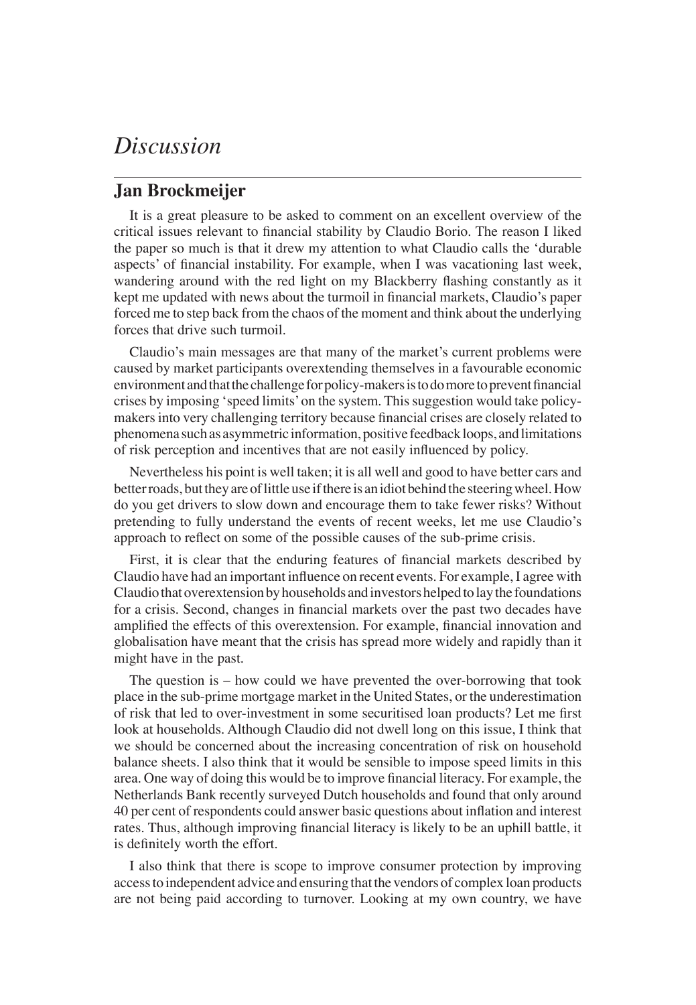## *Discussion*

## **Jan Brockmeijer**

It is a great pleasure to be asked to comment on an excellent overview of the critical issues relevant to financial stability by Claudio Borio. The reason I liked the paper so much is that it drew my attention to what Claudio calls the 'durable aspects' of financial instability. For example, when I was vacationing last week, wandering around with the red light on my Blackberry flashing constantly as it kept me updated with news about the turmoil in financial markets, Claudio's paper forced me to step back from the chaos of the moment and think about the underlying forces that drive such turmoil.

Claudio's main messages are that many of the market's current problems were caused by market participants overextending themselves in a favourable economic environment and that the challenge for policy-makers is to do more to prevent financial crises by imposing 'speed limits' on the system. This suggestion would take policymakers into very challenging territory because financial crises are closely related to phenomena such as asymmetric information, positive feedback loops, and limitations of risk perception and incentives that are not easily influenced by policy.

Nevertheless his point is well taken; it is all well and good to have better cars and better roads, but they are of little use if there is an idiot behind the steering wheel. How do you get drivers to slow down and encourage them to take fewer risks? Without pretending to fully understand the events of recent weeks, let me use Claudio's approach to reflect on some of the possible causes of the sub-prime crisis.

First, it is clear that the enduring features of financial markets described by Claudio have had an important influence on recent events. For example, I agree with Claudio that overextension by households and investors helped to lay the foundations for a crisis. Second, changes in financial markets over the past two decades have amplified the effects of this overextension. For example, financial innovation and globalisation have meant that the crisis has spread more widely and rapidly than it might have in the past.

The question is – how could we have prevented the over-borrowing that took place in the sub-prime mortgage market in the United States, or the underestimation of risk that led to over-investment in some securitised loan products? Let me first look at households. Although Claudio did not dwell long on this issue, I think that we should be concerned about the increasing concentration of risk on household balance sheets. I also think that it would be sensible to impose speed limits in this area. One way of doing this would be to improve financial literacy. For example, the Netherlands Bank recently surveyed Dutch households and found that only around 40 per cent of respondents could answer basic questions about inflation and interest rates. Thus, although improving financial literacy is likely to be an uphill battle, it is definitely worth the effort.

I also think that there is scope to improve consumer protection by improving access to independent advice and ensuring that the vendors of complex loan products are not being paid according to turnover. Looking at my own country, we have